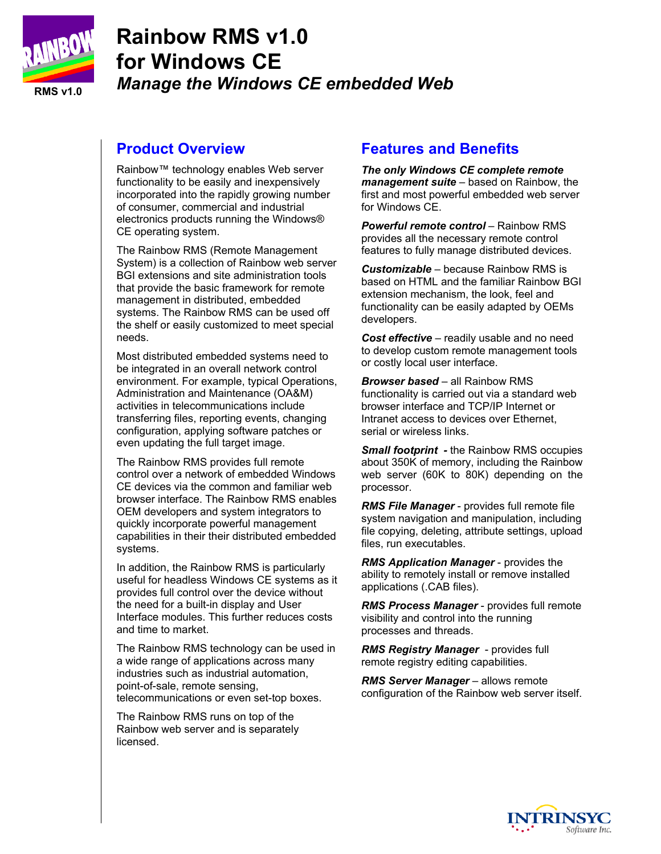

# **Rainbow RMS v1.0 for Windows CE**  *Manage the Windows CE embedded Web*

#### **Product Overview**

Rainbow™ technology enables Web server functionality to be easily and inexpensively incorporated into the rapidly growing number of consumer, commercial and industrial electronics products running the Windows® CE operating system.

The Rainbow RMS (Remote Management System) is a collection of Rainbow web server BGI extensions and site administration tools that provide the basic framework for remote management in distributed, embedded systems. The Rainbow RMS can be used off the shelf or easily customized to meet special needs.

Most distributed embedded systems need to be integrated in an overall network control environment. For example, typical Operations, Administration and Maintenance (OA&M) activities in telecommunications include transferring files, reporting events, changing configuration, applying software patches or even updating the full target image.

The Rainbow RMS provides full remote control over a network of embedded Windows CE devices via the common and familiar web browser interface. The Rainbow RMS enables OEM developers and system integrators to quickly incorporate powerful management capabilities in their their distributed embedded systems.

In addition, the Rainbow RMS is particularly useful for headless Windows CE systems as it provides full control over the device without the need for a built-in display and User Interface modules. This further reduces costs and time to market.

The Rainbow RMS technology can be used in a wide range of applications across many industries such as industrial automation, point-of-sale, remote sensing, telecommunications or even set-top boxes.

The Rainbow RMS runs on top of the Rainbow web server and is separately licensed.

# **Features and Benefits**

*The only Windows CE complete remote management suite* – based on Rainbow, the first and most powerful embedded web server for Windows CE.

*Powerful remote control* – Rainbow RMS provides all the necessary remote control features to fully manage distributed devices.

*Customizable* – because Rainbow RMS is based on HTML and the familiar Rainbow BGI extension mechanism, the look, feel and functionality can be easily adapted by OEMs developers.

*Cost effective* – readily usable and no need to develop custom remote management tools or costly local user interface.

*Browser based* – all Rainbow RMS functionality is carried out via a standard web browser interface and TCP/IP Internet or Intranet access to devices over Ethernet, serial or wireless links.

*Small footprint -* the Rainbow RMS occupies about 350K of memory, including the Rainbow web server (60K to 80K) depending on the processor.

*RMS File Manager* - provides full remote file system navigation and manipulation, including file copying, deleting, attribute settings, upload files, run executables.

*RMS Application Manager* - provides the ability to remotely install or remove installed applications (.CAB files).

*RMS Process Manager* - provides full remote visibility and control into the running processes and threads.

*RMS Registry Manager* - provides full remote registry editing capabilities.

*RMS Server Manager* – allows remote configuration of the Rainbow web server itself.